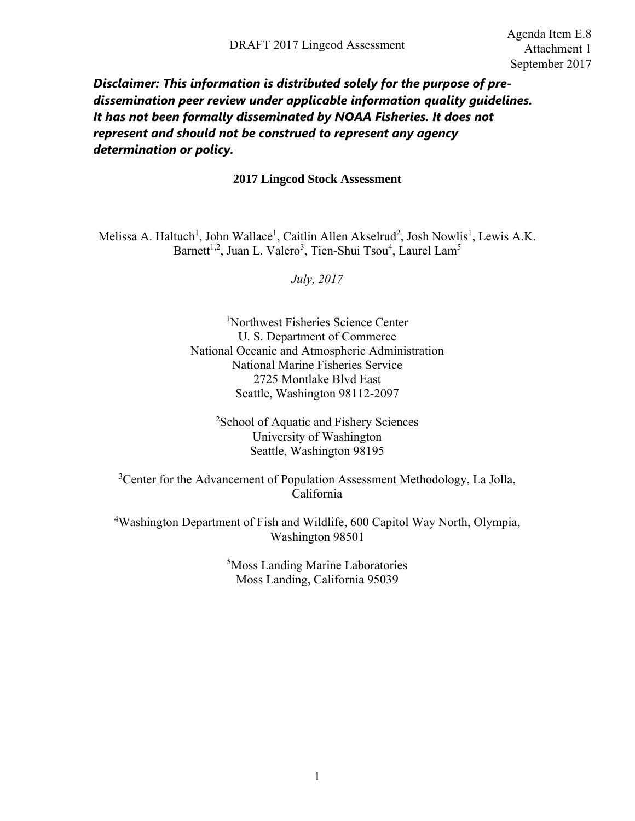## *Disclaimer: This information is distributed solely for the purpose of predissemination peer review under applicable information quality guidelines. It has not been formally disseminated by NOAA Fisheries. It does not represent and should not be construed to represent any agency determination or policy.*

#### **2017 Lingcod Stock Assessment**

Melissa A. Haltuch<sup>1</sup>, John Wallace<sup>1</sup>, Caitlin Allen Akselrud<sup>2</sup>, Josh Nowlis<sup>1</sup>, Lewis A.K. Barnett<sup>1,2</sup>, Juan L. Valero<sup>3</sup>, Tien-Shui Tsou<sup>4</sup>, Laurel Lam<sup>5</sup>

*July, 2017* 

1 Northwest Fisheries Science Center U. S. Department of Commerce National Oceanic and Atmospheric Administration National Marine Fisheries Service 2725 Montlake Blvd East Seattle, Washington 98112-2097

2 School of Aquatic and Fishery Sciences University of Washington Seattle, Washington 98195

<sup>3</sup> Center for the Advancement of Population Assessment Methodology, La Jolla, California

<sup>4</sup>Washington Department of Fish and Wildlife, 600 Capitol Way North, Olympia, Washington 98501

> 5 Moss Landing Marine Laboratories Moss Landing, California 95039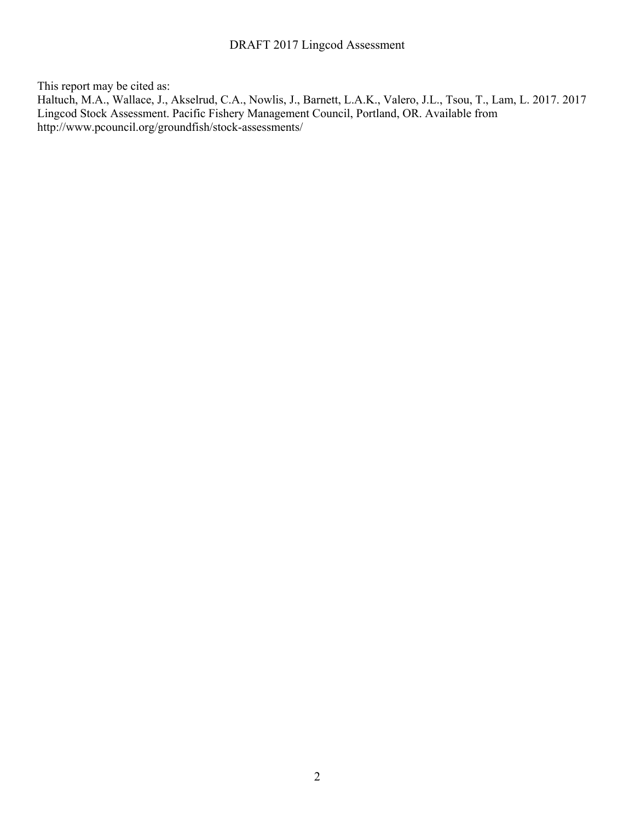This report may be cited as:

Haltuch, M.A., Wallace, J., Akselrud, C.A., Nowlis, J., Barnett, L.A.K., Valero, J.L., Tsou, T., Lam, L. 2017. 2017 Lingcod Stock Assessment. Pacific Fishery Management Council, Portland, OR. Available from http://www.pcouncil.org/groundfish/stock-assessments/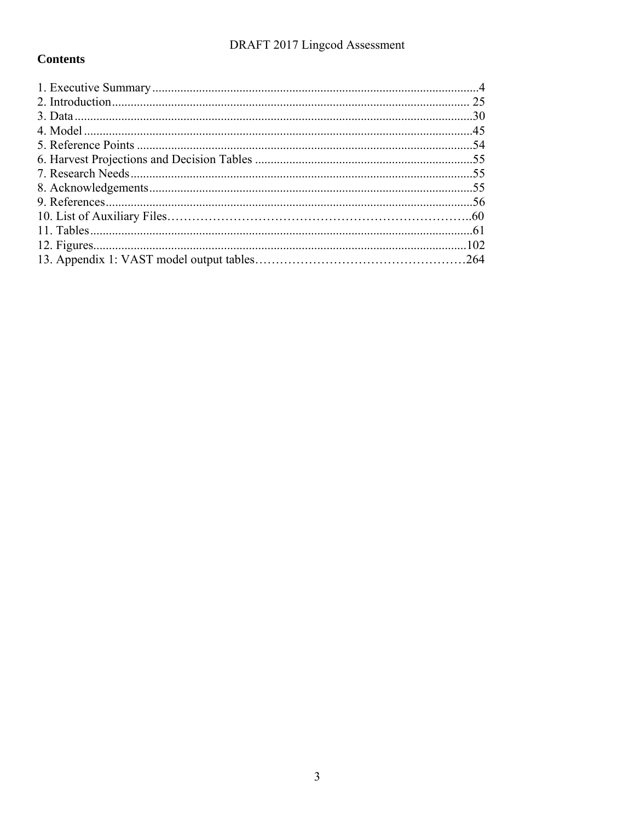## **Contents**

| 25 |
|----|
|    |
|    |
|    |
|    |
|    |
|    |
|    |
|    |
|    |
|    |
|    |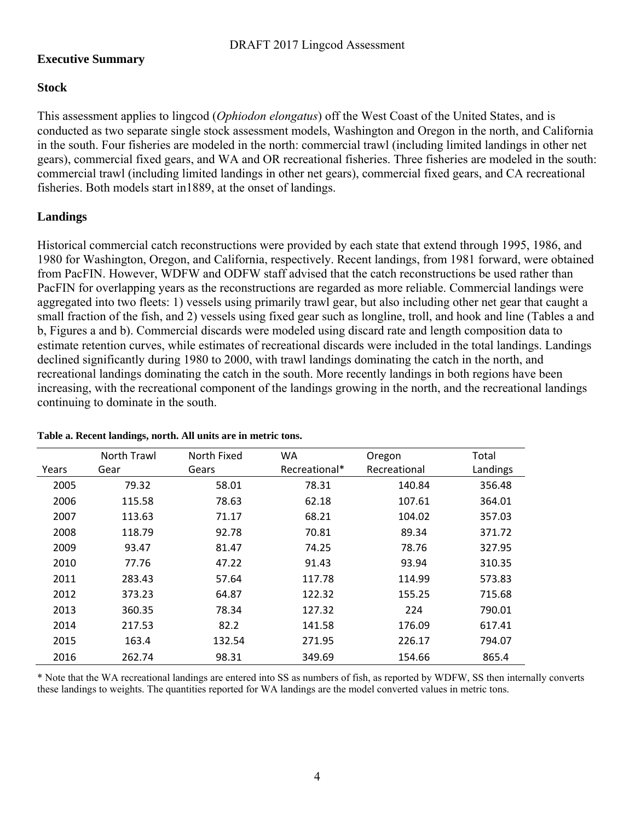### **Executive Summary**

### **Stock**

This assessment applies to lingcod (*Ophiodon elongatus*) off the West Coast of the United States, and is conducted as two separate single stock assessment models, Washington and Oregon in the north, and California in the south. Four fisheries are modeled in the north: commercial trawl (including limited landings in other net gears), commercial fixed gears, and WA and OR recreational fisheries. Three fisheries are modeled in the south: commercial trawl (including limited landings in other net gears), commercial fixed gears, and CA recreational fisheries. Both models start in1889, at the onset of landings.

### **Landings**

Historical commercial catch reconstructions were provided by each state that extend through 1995, 1986, and 1980 for Washington, Oregon, and California, respectively. Recent landings, from 1981 forward, were obtained from PacFIN. However, WDFW and ODFW staff advised that the catch reconstructions be used rather than PacFIN for overlapping years as the reconstructions are regarded as more reliable. Commercial landings were aggregated into two fleets: 1) vessels using primarily trawl gear, but also including other net gear that caught a small fraction of the fish, and 2) vessels using fixed gear such as longline, troll, and hook and line (Tables a and b, Figures a and b). Commercial discards were modeled using discard rate and length composition data to estimate retention curves, while estimates of recreational discards were included in the total landings. Landings declined significantly during 1980 to 2000, with trawl landings dominating the catch in the north, and recreational landings dominating the catch in the south. More recently landings in both regions have been increasing, with the recreational component of the landings growing in the north, and the recreational landings continuing to dominate in the south.

|       | North Trawl | North Fixed | <b>WA</b>     | Oregon       | Total    |
|-------|-------------|-------------|---------------|--------------|----------|
| Years | Gear        | Gears       | Recreational* | Recreational | Landings |
| 2005  | 79.32       | 58.01       | 78.31         | 140.84       | 356.48   |
| 2006  | 115.58      | 78.63       | 62.18         | 107.61       | 364.01   |
| 2007  | 113.63      | 71.17       | 68.21         | 104.02       | 357.03   |
| 2008  | 118.79      | 92.78       | 70.81         | 89.34        | 371.72   |
| 2009  | 93.47       | 81.47       | 74.25         | 78.76        | 327.95   |
| 2010  | 77.76       | 47.22       | 91.43         | 93.94        | 310.35   |
| 2011  | 283.43      | 57.64       | 117.78        | 114.99       | 573.83   |
| 2012  | 373.23      | 64.87       | 122.32        | 155.25       | 715.68   |
| 2013  | 360.35      | 78.34       | 127.32        | 224          | 790.01   |
| 2014  | 217.53      | 82.2        | 141.58        | 176.09       | 617.41   |
| 2015  | 163.4       | 132.54      | 271.95        | 226.17       | 794.07   |
| 2016  | 262.74      | 98.31       | 349.69        | 154.66       | 865.4    |

#### **Table a. Recent landings, north. All units are in metric tons.**

\* Note that the WA recreational landings are entered into SS as numbers of fish, as reported by WDFW, SS then internally converts these landings to weights. The quantities reported for WA landings are the model converted values in metric tons.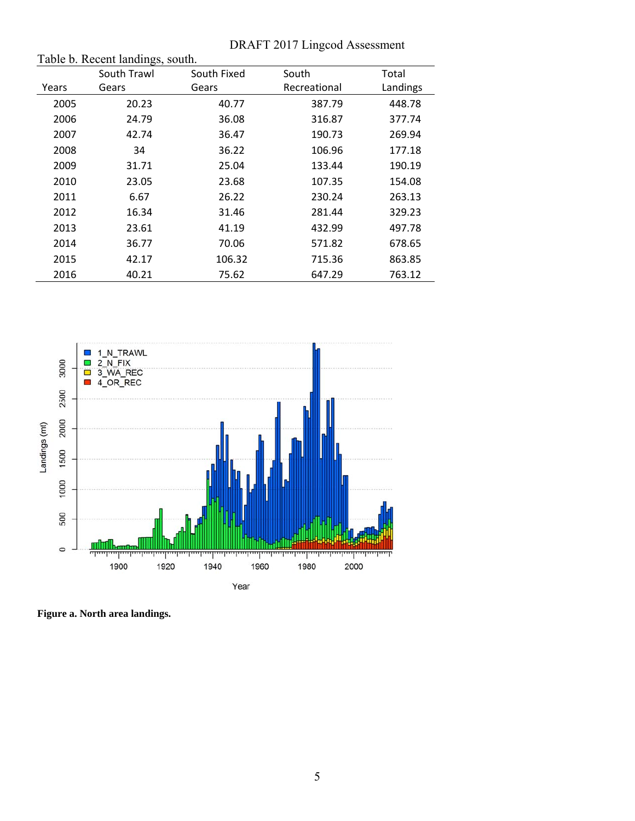|       | DRAFT 2017 Lingcod Assessment    |             |              |          |  |
|-------|----------------------------------|-------------|--------------|----------|--|
|       | Table b. Recent landings, south. |             |              |          |  |
|       | South Trawl                      | South Fixed | South        | Total    |  |
| Years | Gears                            | Gears       | Recreational | Landings |  |
| 2005  | 20.23                            | 40.77       | 387.79       | 448.78   |  |
| 2006  | 24.79                            | 36.08       | 316.87       | 377.74   |  |
| 2007  | 42.74                            | 36.47       | 190.73       | 269.94   |  |
| 2008  | 34                               | 36.22       | 106.96       | 177.18   |  |
| 2009  | 31.71                            | 25.04       | 133.44       | 190.19   |  |
| 2010  | 23.05                            | 23.68       | 107.35       | 154.08   |  |
| 2011  | 6.67                             | 26.22       | 230.24       | 263.13   |  |
| 2012  | 16.34                            | 31.46       | 281.44       | 329.23   |  |
| 2013  | 23.61                            | 41.19       | 432.99       | 497.78   |  |
| 2014  | 36.77                            | 70.06       | 571.82       | 678.65   |  |
| 2015  | 42.17                            | 106.32      | 715.36       | 863.85   |  |
| 2016  | 40.21                            | 75.62       | 647.29       | 763.12   |  |

## $DATE 2017$  Lingcod A



**Figure a. North area landings.**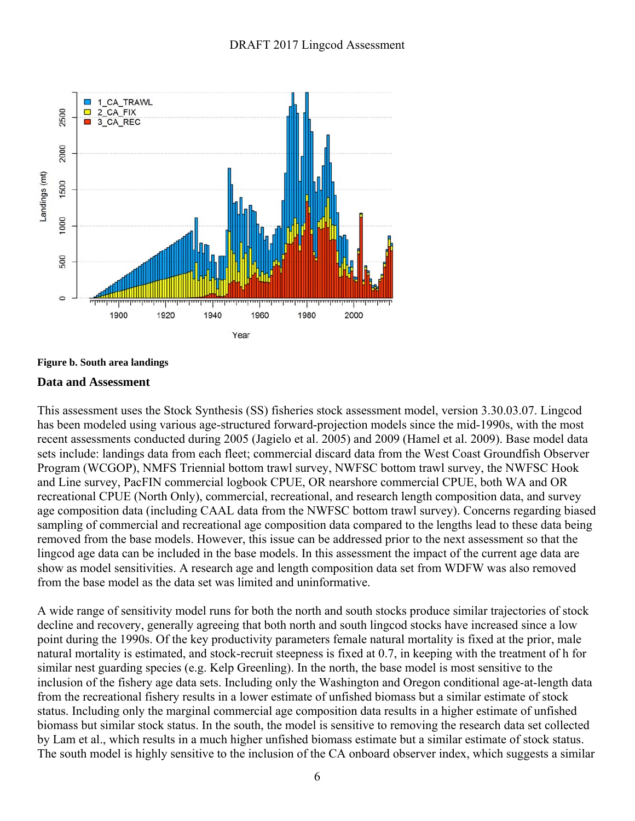



#### **Data and Assessment**

This assessment uses the Stock Synthesis (SS) fisheries stock assessment model, version 3.30.03.07. Lingcod has been modeled using various age-structured forward-projection models since the mid-1990s, with the most recent assessments conducted during 2005 (Jagielo et al. 2005) and 2009 (Hamel et al. 2009). Base model data sets include: landings data from each fleet; commercial discard data from the West Coast Groundfish Observer Program (WCGOP), NMFS Triennial bottom trawl survey, NWFSC bottom trawl survey, the NWFSC Hook and Line survey, PacFIN commercial logbook CPUE, OR nearshore commercial CPUE, both WA and OR recreational CPUE (North Only), commercial, recreational, and research length composition data, and survey age composition data (including CAAL data from the NWFSC bottom trawl survey). Concerns regarding biased sampling of commercial and recreational age composition data compared to the lengths lead to these data being removed from the base models. However, this issue can be addressed prior to the next assessment so that the lingcod age data can be included in the base models. In this assessment the impact of the current age data are show as model sensitivities. A research age and length composition data set from WDFW was also removed from the base model as the data set was limited and uninformative.

A wide range of sensitivity model runs for both the north and south stocks produce similar trajectories of stock decline and recovery, generally agreeing that both north and south lingcod stocks have increased since a low point during the 1990s. Of the key productivity parameters female natural mortality is fixed at the prior, male natural mortality is estimated, and stock-recruit steepness is fixed at 0.7, in keeping with the treatment of h for similar nest guarding species (e.g. Kelp Greenling). In the north, the base model is most sensitive to the inclusion of the fishery age data sets. Including only the Washington and Oregon conditional age-at-length data from the recreational fishery results in a lower estimate of unfished biomass but a similar estimate of stock status. Including only the marginal commercial age composition data results in a higher estimate of unfished biomass but similar stock status. In the south, the model is sensitive to removing the research data set collected by Lam et al., which results in a much higher unfished biomass estimate but a similar estimate of stock status. The south model is highly sensitive to the inclusion of the CA onboard observer index, which suggests a similar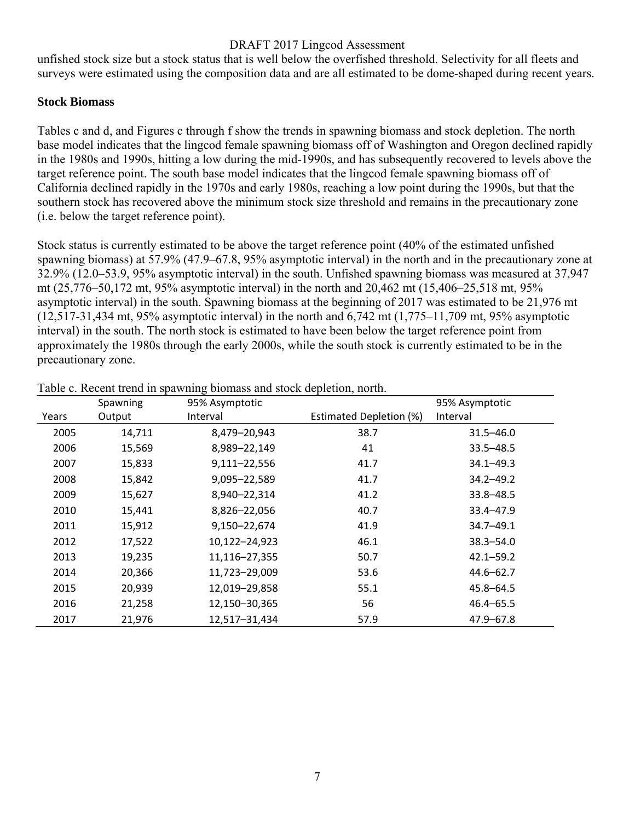unfished stock size but a stock status that is well below the overfished threshold. Selectivity for all fleets and surveys were estimated using the composition data and are all estimated to be dome-shaped during recent years.

### **Stock Biomass**

Tables c and d, and Figures c through f show the trends in spawning biomass and stock depletion. The north base model indicates that the lingcod female spawning biomass off of Washington and Oregon declined rapidly in the 1980s and 1990s, hitting a low during the mid-1990s, and has subsequently recovered to levels above the target reference point. The south base model indicates that the lingcod female spawning biomass off of California declined rapidly in the 1970s and early 1980s, reaching a low point during the 1990s, but that the southern stock has recovered above the minimum stock size threshold and remains in the precautionary zone (i.e. below the target reference point).

Stock status is currently estimated to be above the target reference point (40% of the estimated unfished spawning biomass) at 57.9% (47.9–67.8, 95% asymptotic interval) in the north and in the precautionary zone at 32.9% (12.0–53.9, 95% asymptotic interval) in the south. Unfished spawning biomass was measured at 37,947 mt (25,776–50,172 mt, 95% asymptotic interval) in the north and 20,462 mt (15,406–25,518 mt, 95% asymptotic interval) in the south. Spawning biomass at the beginning of 2017 was estimated to be 21,976 mt (12,517-31,434 mt, 95% asymptotic interval) in the north and 6,742 mt (1,775–11,709 mt, 95% asymptotic interval) in the south. The north stock is estimated to have been below the target reference point from approximately the 1980s through the early 2000s, while the south stock is currently estimated to be in the precautionary zone.

|       | Spawning | 95% Asymptotic |                         | 95% Asymptotic |
|-------|----------|----------------|-------------------------|----------------|
| Years | Output   | Interval       | Estimated Depletion (%) | Interval       |
| 2005  | 14,711   | 8,479-20,943   | 38.7                    | $31.5 - 46.0$  |
| 2006  | 15,569   | 8,989-22,149   | 41                      | $33.5 - 48.5$  |
| 2007  | 15,833   | 9,111-22,556   | 41.7                    | $34.1 - 49.3$  |
| 2008  | 15,842   | 9,095-22,589   | 41.7                    | $34.2 - 49.2$  |
| 2009  | 15,627   | 8,940-22,314   | 41.2                    | $33.8 - 48.5$  |
| 2010  | 15,441   | 8,826-22,056   | 40.7                    | $33.4 - 47.9$  |
| 2011  | 15,912   | 9,150-22,674   | 41.9                    | $34.7 - 49.1$  |
| 2012  | 17,522   | 10,122-24,923  | 46.1                    | $38.3 - 54.0$  |
| 2013  | 19,235   | 11,116-27,355  | 50.7                    | $42.1 - 59.2$  |
| 2014  | 20,366   | 11,723-29,009  | 53.6                    | $44.6 - 62.7$  |
| 2015  | 20,939   | 12,019-29,858  | 55.1                    | $45.8 - 64.5$  |
| 2016  | 21,258   | 12,150-30,365  | 56                      | $46.4 - 65.5$  |
| 2017  | 21,976   | 12,517-31,434  | 57.9                    | 47.9-67.8      |

Table c. Recent trend in spawning biomass and stock depletion, north.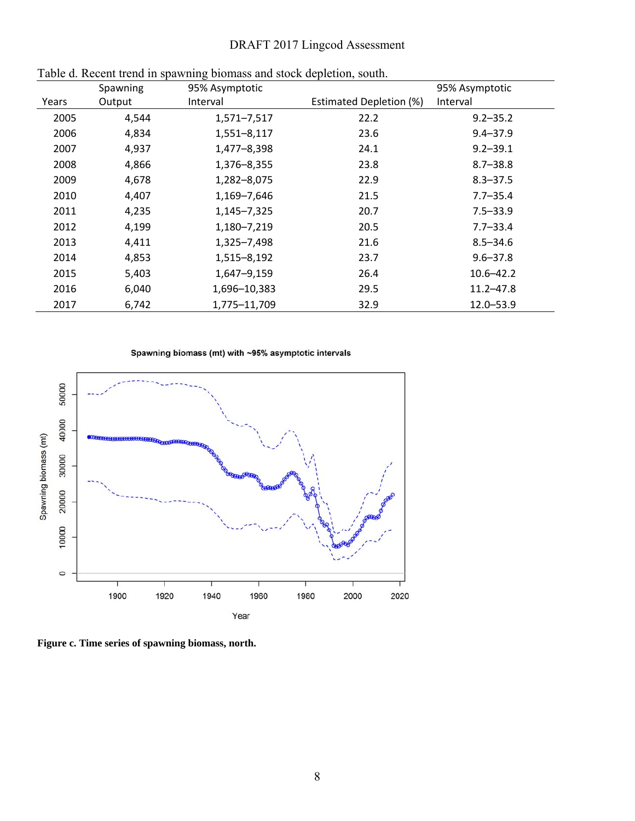|       | Spawning | っ<br>95% Asymptotic | 95% Asymptotic          |               |
|-------|----------|---------------------|-------------------------|---------------|
| Years | Output   | Interval            | Estimated Depletion (%) | Interval      |
| 2005  | 4,544    | 1,571-7,517         | 22.2                    | $9.2 - 35.2$  |
| 2006  | 4,834    | 1,551-8,117         | 23.6                    | $9.4 - 37.9$  |
| 2007  | 4,937    | 1,477-8,398         | 24.1                    | $9.2 - 39.1$  |
| 2008  | 4,866    | 1,376-8,355         | 23.8                    | $8.7 - 38.8$  |
| 2009  | 4,678    | 1,282-8,075         | 22.9                    | $8.3 - 37.5$  |
| 2010  | 4,407    | 1,169-7,646         | 21.5                    | $7.7 - 35.4$  |
| 2011  | 4,235    | 1,145-7,325         | 20.7                    | $7.5 - 33.9$  |
| 2012  | 4,199    | 1,180-7,219         | 20.5                    | $7.7 - 33.4$  |
| 2013  | 4,411    | 1,325-7,498         | 21.6                    | $8.5 - 34.6$  |
| 2014  | 4,853    | 1,515-8,192         | 23.7                    | $9.6 - 37.8$  |
| 2015  | 5,403    | 1,647-9,159         | 26.4                    | 10.6–42.2     |
| 2016  | 6,040    | 1,696-10,383        | 29.5                    | $11.2 - 47.8$ |
| 2017  | 6,742    | 1,775-11,709        | 32.9                    | 12.0-53.9     |

|  | Table d. Recent trend in spawning biomass and stock depletion, south. |  |  |  |
|--|-----------------------------------------------------------------------|--|--|--|
|  |                                                                       |  |  |  |





**Figure c. Time series of spawning biomass, north.**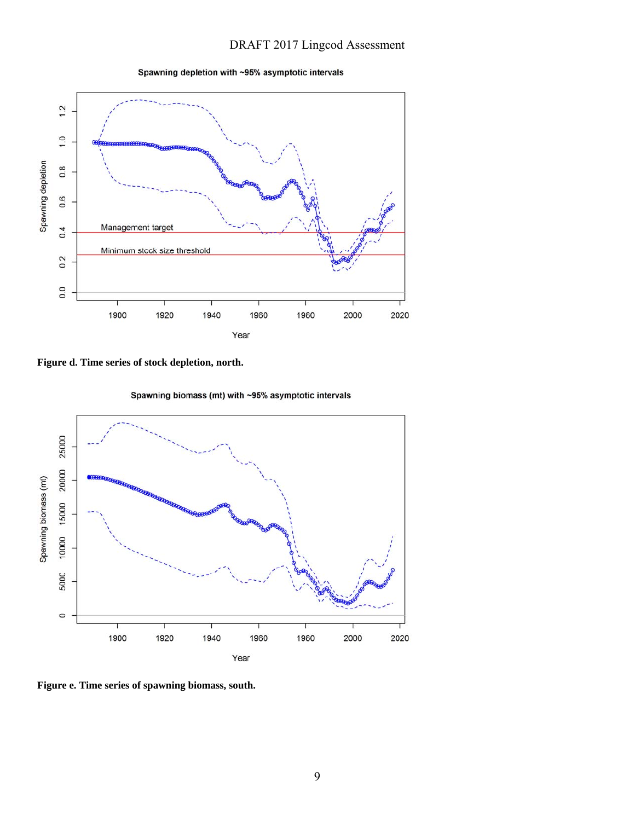Spawning depletion with ~95% asymptotic intervals



**Figure d. Time series of stock depletion, north.** 

Spawning biomass (mt) with ~95% asymptotic intervals



**Figure e. Time series of spawning biomass, south.**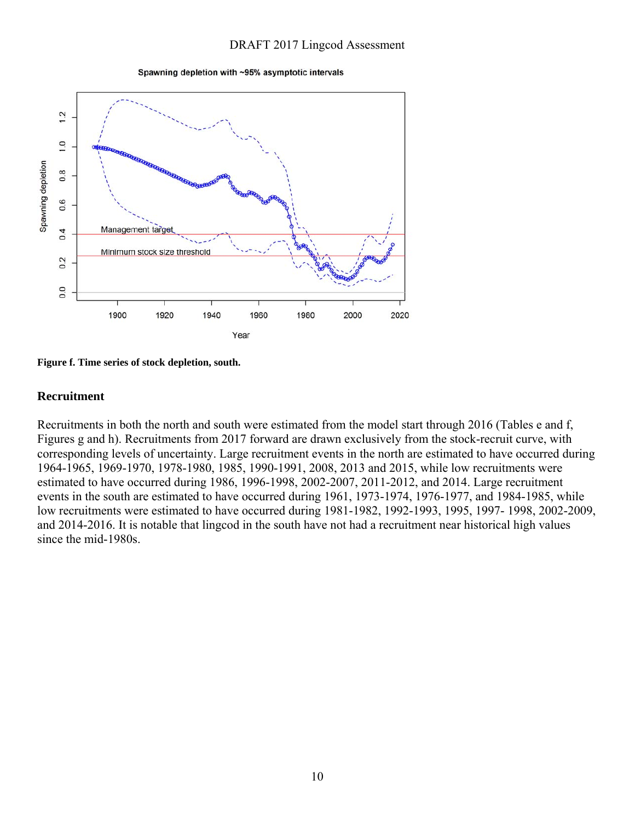Spawning depletion with ~95% asymptotic intervals



**Figure f. Time series of stock depletion, south.** 

#### **Recruitment**

Recruitments in both the north and south were estimated from the model start through 2016 (Tables e and f, Figures g and h). Recruitments from 2017 forward are drawn exclusively from the stock-recruit curve, with corresponding levels of uncertainty. Large recruitment events in the north are estimated to have occurred during 1964-1965, 1969-1970, 1978-1980, 1985, 1990-1991, 2008, 2013 and 2015, while low recruitments were estimated to have occurred during 1986, 1996-1998, 2002-2007, 2011-2012, and 2014. Large recruitment events in the south are estimated to have occurred during 1961, 1973-1974, 1976-1977, and 1984-1985, while low recruitments were estimated to have occurred during 1981-1982, 1992-1993, 1995, 1997- 1998, 2002-2009, and 2014-2016. It is notable that lingcod in the south have not had a recruitment near historical high values since the mid-1980s.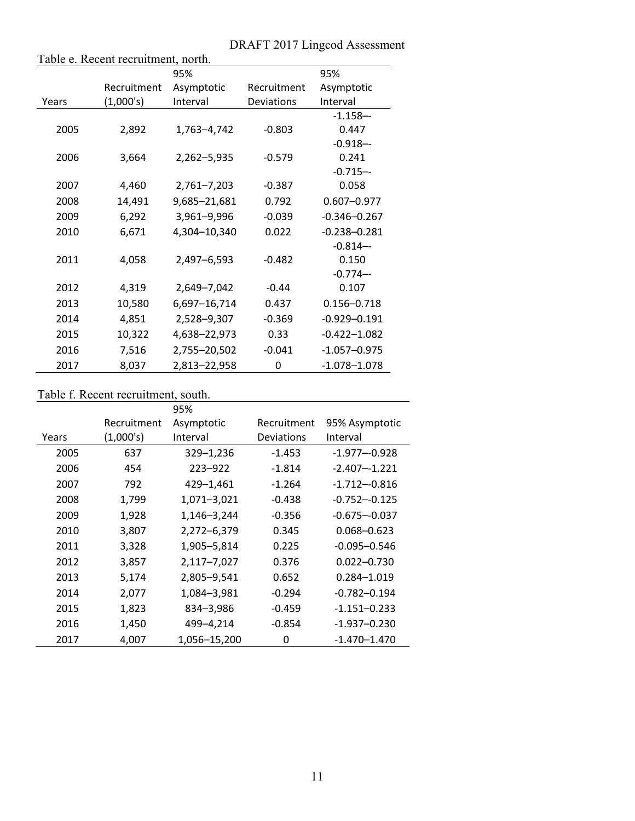|       | Table e. Recent recruitment, north. |              |                           |                  |
|-------|-------------------------------------|--------------|---------------------------|------------------|
|       |                                     | 95%          |                           | 95%              |
|       | Recruitment                         | Asymptotic   | Recruitment<br>Asymptotic |                  |
| Years | (1,000's)                           | Interval     | Deviations                | Interval         |
|       |                                     |              |                           | $-1.158 - -$     |
| 2005  | 2,892                               | 1,763-4,742  | $-0.803$                  | 0.447            |
|       |                                     |              |                           | $-0.918 - -$     |
| 2006  | 3,664                               | 2,262-5,935  | $-0.579$                  | 0.241            |
|       |                                     |              |                           | $-0.715 - -$     |
| 2007  | 4,460                               | 2,761-7,203  | $-0.387$                  | 0.058            |
| 2008  | 14,491                              | 9,685-21,681 | 0.792                     | $0.607 - 0.977$  |
| 2009  | 6,292                               | 3,961-9,996  | $-0.039$                  | $-0.346 - 0.267$ |
| 2010  | 6,671                               | 4,304-10,340 | 0.022                     | $-0.238 - 0.281$ |
|       |                                     |              |                           | $-0.814-$        |
| 2011  | 4,058                               | 2,497-6,593  | $-0.482$                  | 0.150            |
|       |                                     |              |                           | $-0.774-$        |
| 2012  | 4,319                               | 2,649-7,042  | $-0.44$                   | 0.107            |
| 2013  | 10,580                              | 6,697-16,714 | 0.437                     | $0.156 - 0.718$  |
| 2014  | 4,851                               | 2,528-9,307  | $-0.369$                  | $-0.929 - 0.191$ |
| 2015  | 10,322                              | 4,638-22,973 | 0.33                      | $-0.422 - 1.082$ |
| 2016  | 7,516                               | 2,755-20,502 | $-0.041$                  | $-1.057 - 0.975$ |
| 2017  | 8,037                               | 2,813-22,958 | $\mathbf 0$               | $-1.078 - 1.078$ |

#### Table f. Recent recruitment, south.

|       |             | 95%          |             |                  |
|-------|-------------|--------------|-------------|------------------|
|       | Recruitment | Asymptotic   | Recruitment | 95% Asymptotic   |
| Years | (1,000's)   | Interval     | Deviations  | Interval         |
| 2005  | 637         | 329-1,236    | $-1.453$    | $-1.977 - 0.928$ |
| 2006  | 454         | $223 - 922$  | $-1.814$    | $-2.407 - 1.221$ |
| 2007  | 792         | 429-1,461    | $-1.264$    | $-1.712 - 0.816$ |
| 2008  | 1,799       | 1,071-3,021  | $-0.438$    | $-0.752 - 0.125$ |
| 2009  | 1,928       | 1,146-3,244  | $-0.356$    | $-0.675 - 0.037$ |
| 2010  | 3,807       | 2,272-6,379  | 0.345       | $0.068 - 0.623$  |
| 2011  | 3,328       | 1,905-5,814  | 0.225       | $-0.095 - 0.546$ |
| 2012  | 3,857       | 2,117-7,027  | 0.376       | $0.022 - 0.730$  |
| 2013  | 5,174       | 2,805-9,541  | 0.652       | 0.284-1.019      |
| 2014  | 2,077       | 1,084-3,981  | $-0.294$    | $-0.782 - 0.194$ |
| 2015  | 1,823       | 834-3,986    | $-0.459$    | $-1.151 - 0.233$ |
| 2016  | 1,450       | 499-4,214    | $-0.854$    | $-1.937 - 0.230$ |
| 2017  | 4,007       | 1,056-15,200 | 0           | $-1.470 - 1.470$ |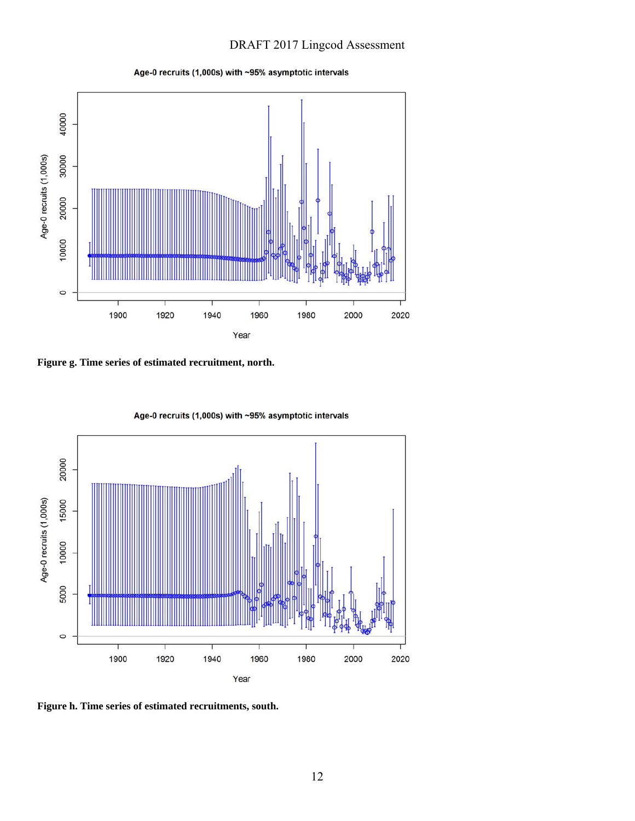



**Figure g. Time series of estimated recruitment, north.** 



Age-0 recruits (1,000s) with ~95% asymptotic intervals

**Figure h. Time series of estimated recruitments, south.**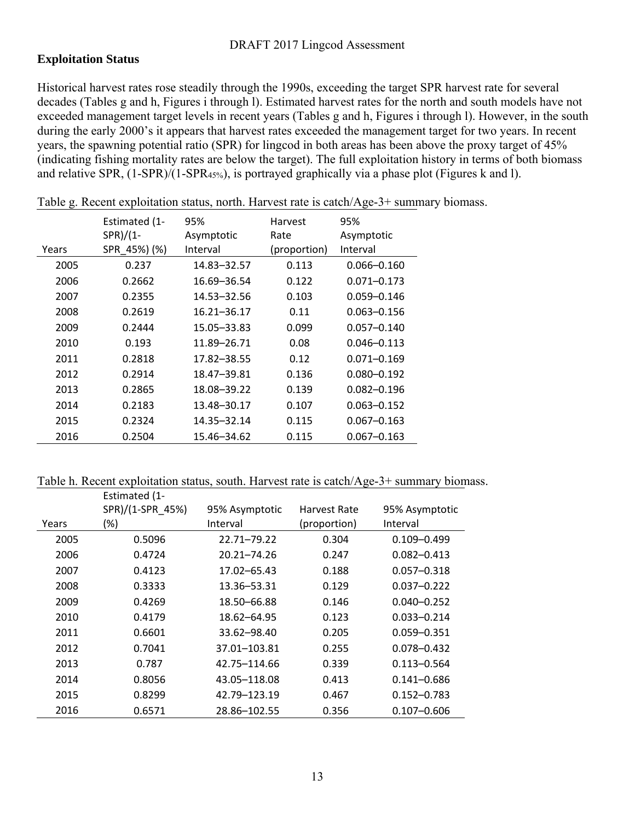### **Exploitation Status**

Historical harvest rates rose steadily through the 1990s, exceeding the target SPR harvest rate for several decades (Tables g and h, Figures i through l). Estimated harvest rates for the north and south models have not exceeded management target levels in recent years (Tables g and h, Figures i through l). However, in the south during the early 2000's it appears that harvest rates exceeded the management target for two years. In recent years, the spawning potential ratio (SPR) for lingcod in both areas has been above the proxy target of 45% (indicating fishing mortality rates are below the target). The full exploitation history in terms of both biomass and relative SPR, (1-SPR)/(1-SPR45%), is portrayed graphically via a phase plot (Figures k and l).

|       | Estimated (1-<br>$SPR)/(1-$ | 95%<br>Asymptotic | Harvest<br>95%<br>Asymptotic<br>Rate |                 |
|-------|-----------------------------|-------------------|--------------------------------------|-----------------|
| Years | SPR 45%) (%)                | Interval          | (proportion)                         | Interval        |
| 2005  | 0.237                       | 14.83 - 32.57     | 0.113                                | $0.066 - 0.160$ |
| 2006  | 0.2662                      | 16.69 - 36.54     | 0.122                                | $0.071 - 0.173$ |
| 2007  | 0.2355                      | 14.53-32.56       | 0.103                                | $0.059 - 0.146$ |
| 2008  | 0.2619                      | $16.21 - 36.17$   | 0.11                                 | $0.063 - 0.156$ |
| 2009  | 0.2444                      | 15.05-33.83       | 0.099                                | $0.057 - 0.140$ |
| 2010  | 0.193                       | 11.89-26.71       | 0.08                                 | $0.046 - 0.113$ |
| 2011  | 0.2818                      | 17.82–38.55       | 0.12                                 | $0.071 - 0.169$ |
| 2012  | 0.2914                      | 18.47-39.81       | 0.136                                | $0.080 - 0.192$ |
| 2013  | 0.2865                      | 18.08-39.22       | 0.139                                | $0.082 - 0.196$ |
| 2014  | 0.2183                      | 13.48-30.17       | 0.107                                | $0.063 - 0.152$ |
| 2015  | 0.2324                      | 14.35 - 32.14     | 0.115                                | $0.067 - 0.163$ |
| 2016  | 0.2504                      | 15.46–34.62       | 0.115                                | $0.067 - 0.163$ |

Table g. Recent exploitation status, north. Harvest rate is catch/Age-3+ summary biomass.

Table h. Recent exploitation status, south. Harvest rate is catch/Age-3+ summary biomass.

|       | Estimated (1-    |                 |                                |                 |
|-------|------------------|-----------------|--------------------------------|-----------------|
|       | SPR)/(1-SPR_45%) | 95% Asymptotic  | 95% Asymptotic<br>Harvest Rate |                 |
| Years | (%)              | Interval        | (proportion)                   | Interval        |
| 2005  | 0.5096           | 22.71-79.22     | 0.304                          | $0.109 - 0.499$ |
| 2006  | 0.4724           | $20.21 - 74.26$ | 0.247                          | $0.082 - 0.413$ |
| 2007  | 0.4123           | 17.02-65.43     | 0.188                          | $0.057 - 0.318$ |
| 2008  | 0.3333           | 13.36-53.31     | 0.129                          | $0.037 - 0.222$ |
| 2009  | 0.4269           | 18.50 - 66.88   | 0.146                          | $0.040 - 0.252$ |
| 2010  | 0.4179           | 18.62–64.95     | 0.123                          | $0.033 - 0.214$ |
| 2011  | 0.6601           | 33.62-98.40     | 0.205                          | $0.059 - 0.351$ |
| 2012  | 0.7041           | 37.01-103.81    | 0.255                          | $0.078 - 0.432$ |
| 2013  | 0.787            | 42.75-114.66    | 0.339                          | $0.113 - 0.564$ |
| 2014  | 0.8056           | 43.05-118.08    | 0.413                          | $0.141 - 0.686$ |
| 2015  | 0.8299           | 42.79-123.19    | 0.467                          | $0.152 - 0.783$ |
| 2016  | 0.6571           | 28.86-102.55    | 0.356                          | $0.107 - 0.606$ |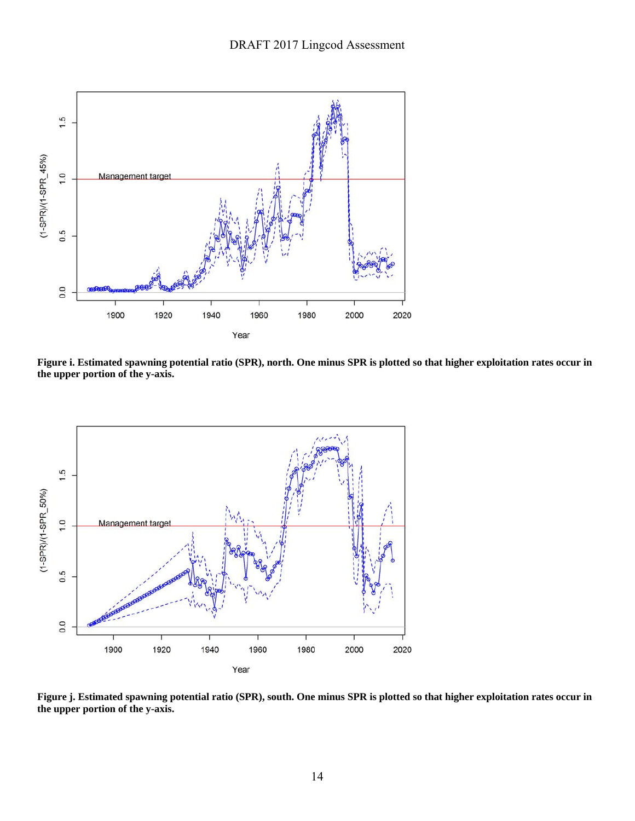

**Figure i. Estimated spawning potential ratio (SPR), north. One minus SPR is plotted so that higher exploitation rates occur in the upper portion of the y-axis.** 



**Figure j. Estimated spawning potential ratio (SPR), south. One minus SPR is plotted so that higher exploitation rates occur in the upper portion of the y-axis.**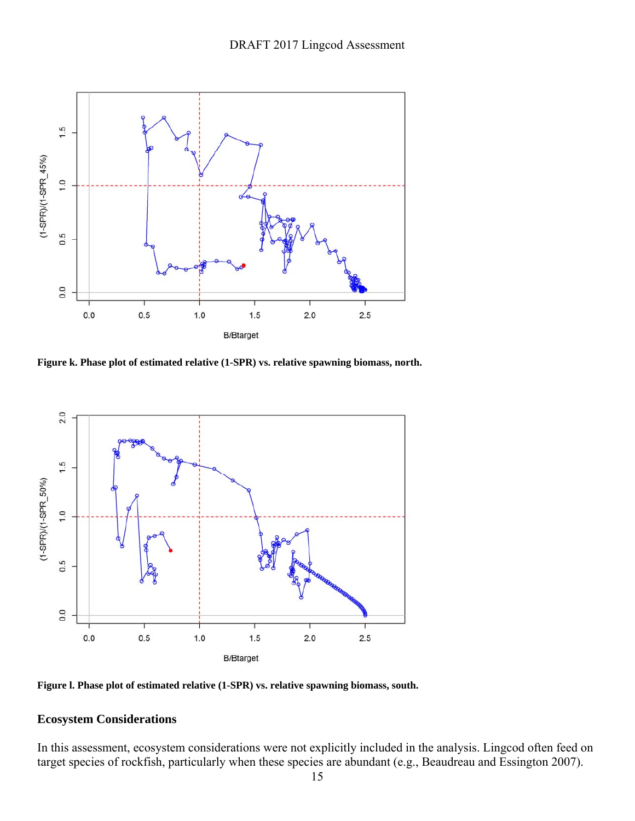

**Figure k. Phase plot of estimated relative (1-SPR) vs. relative spawning biomass, north.** 



**Figure l. Phase plot of estimated relative (1-SPR) vs. relative spawning biomass, south.** 

### **Ecosystem Considerations**

In this assessment, ecosystem considerations were not explicitly included in the analysis. Lingcod often feed on target species of rockfish, particularly when these species are abundant (e.g., Beaudreau and Essington 2007).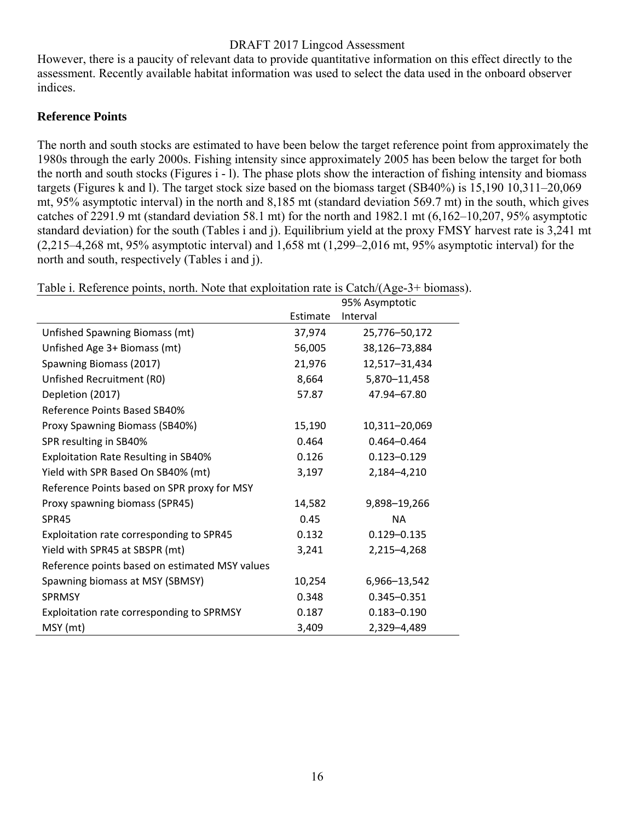However, there is a paucity of relevant data to provide quantitative information on this effect directly to the assessment. Recently available habitat information was used to select the data used in the onboard observer indices.

### **Reference Points**

The north and south stocks are estimated to have been below the target reference point from approximately the 1980s through the early 2000s. Fishing intensity since approximately 2005 has been below the target for both the north and south stocks (Figures i - l). The phase plots show the interaction of fishing intensity and biomass targets (Figures k and l). The target stock size based on the biomass target (SB40%) is 15,190 10,311–20,069 mt, 95% asymptotic interval) in the north and 8,185 mt (standard deviation 569.7 mt) in the south, which gives catches of 2291.9 mt (standard deviation 58.1 mt) for the north and 1982.1 mt (6,162–10,207, 95% asymptotic standard deviation) for the south (Tables i and j). Equilibrium yield at the proxy FMSY harvest rate is 3,241 mt (2,215–4,268 mt, 95% asymptotic interval) and 1,658 mt (1,299–2,016 mt, 95% asymptotic interval) for the north and south, respectively (Tables i and j).

| Two T. Keretenec points, norm. Twic mat exploration rate is eaten/(1150) 3. Oromass |          | 95% Asymptotic  |
|-------------------------------------------------------------------------------------|----------|-----------------|
|                                                                                     | Estimate | Interval        |
| Unfished Spawning Biomass (mt)                                                      | 37,974   | 25,776-50,172   |
| Unfished Age 3+ Biomass (mt)                                                        | 56,005   | 38,126-73,884   |
| Spawning Biomass (2017)                                                             | 21,976   | 12,517-31,434   |
| Unfished Recruitment (R0)                                                           | 8,664    | 5,870-11,458    |
| Depletion (2017)                                                                    | 57.87    | 47.94-67.80     |
| Reference Points Based SB40%                                                        |          |                 |
| Proxy Spawning Biomass (SB40%)                                                      | 15,190   | 10,311-20,069   |
| SPR resulting in SB40%                                                              | 0.464    | $0.464 - 0.464$ |
| <b>Exploitation Rate Resulting in SB40%</b>                                         | 0.126    | $0.123 - 0.129$ |
| Yield with SPR Based On SB40% (mt)                                                  | 3,197    | 2,184-4,210     |
| Reference Points based on SPR proxy for MSY                                         |          |                 |
| Proxy spawning biomass (SPR45)                                                      | 14,582   | 9,898-19,266    |
| SPR45                                                                               | 0.45     | <b>NA</b>       |
| Exploitation rate corresponding to SPR45                                            | 0.132    | $0.129 - 0.135$ |
| Yield with SPR45 at SBSPR (mt)                                                      | 3,241    | 2,215-4,268     |
| Reference points based on estimated MSY values                                      |          |                 |
| Spawning biomass at MSY (SBMSY)                                                     | 10,254   | 6,966-13,542    |
| <b>SPRMSY</b>                                                                       | 0.348    | $0.345 - 0.351$ |
| Exploitation rate corresponding to SPRMSY                                           | 0.187    | $0.183 - 0.190$ |
| MSY (mt)                                                                            | 3,409    | 2,329-4,489     |

Table i. Reference points, north. Note that exploitation rate is  $\text{Catch}/(\text{Age-3+ biomass})$ .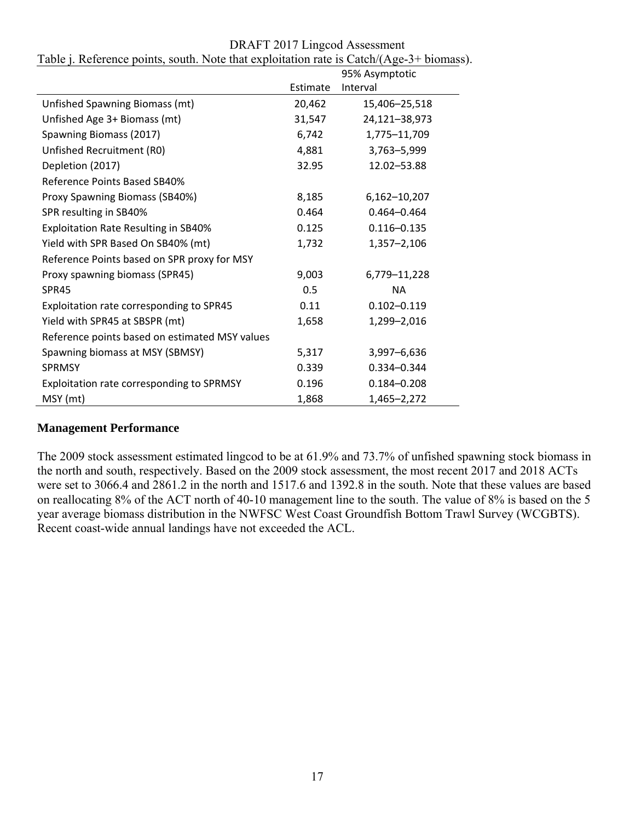| DRAFT 2017 Lingcod Assessment |
|-------------------------------|
|-------------------------------|

|                                                |          | 95% Asymptotic  |
|------------------------------------------------|----------|-----------------|
|                                                | Estimate | Interval        |
| Unfished Spawning Biomass (mt)                 | 20,462   | 15,406-25,518   |
| Unfished Age 3+ Biomass (mt)                   | 31,547   | 24,121-38,973   |
| Spawning Biomass (2017)                        | 6,742    | 1,775-11,709    |
| Unfished Recruitment (R0)                      | 4,881    | 3,763-5,999     |
| Depletion (2017)                               | 32.95    | 12.02-53.88     |
| Reference Points Based SB40%                   |          |                 |
| Proxy Spawning Biomass (SB40%)                 | 8,185    | 6,162-10,207    |
| SPR resulting in SB40%                         | 0.464    | $0.464 - 0.464$ |
| Exploitation Rate Resulting in SB40%           | 0.125    | $0.116 - 0.135$ |
| Yield with SPR Based On SB40% (mt)             | 1,732    | 1,357-2,106     |
| Reference Points based on SPR proxy for MSY    |          |                 |
| Proxy spawning biomass (SPR45)                 | 9,003    | 6,779-11,228    |
| SPR45                                          | 0.5      | <b>NA</b>       |
| Exploitation rate corresponding to SPR45       | 0.11     | $0.102 - 0.119$ |
| Yield with SPR45 at SBSPR (mt)                 | 1,658    | 1,299-2,016     |
| Reference points based on estimated MSY values |          |                 |
| Spawning biomass at MSY (SBMSY)                | 5,317    | 3,997-6,636     |
| <b>SPRMSY</b>                                  | 0.339    | 0.334-0.344     |
| Exploitation rate corresponding to SPRMSY      | 0.196    | $0.184 - 0.208$ |
| MSY (mt)                                       | 1,868    | 1,465-2,272     |

Table j. Reference points, south. Note that exploitation rate is Catch/(Age-3+ biomass).

## **Management Performance**

The 2009 stock assessment estimated lingcod to be at 61.9% and 73.7% of unfished spawning stock biomass in the north and south, respectively. Based on the 2009 stock assessment, the most recent 2017 and 2018 ACTs were set to 3066.4 and 2861.2 in the north and 1517.6 and 1392.8 in the south. Note that these values are based on reallocating 8% of the ACT north of 40-10 management line to the south. The value of 8% is based on the 5 year average biomass distribution in the NWFSC West Coast Groundfish Bottom Trawl Survey (WCGBTS). Recent coast-wide annual landings have not exceeded the ACL.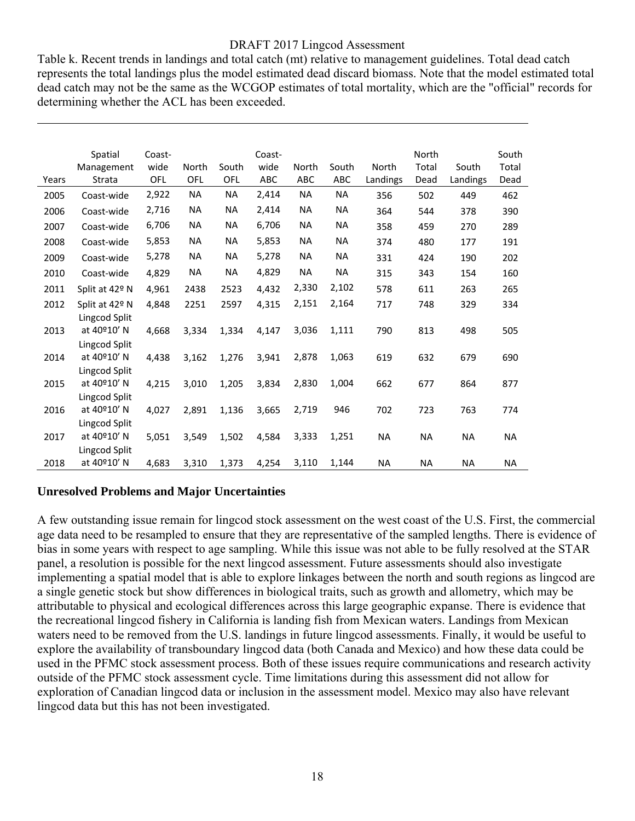Table k. Recent trends in landings and total catch (mt) relative to management guidelines. Total dead catch represents the total landings plus the model estimated dead discard biomass. Note that the model estimated total dead catch may not be the same as the WCGOP estimates of total mortality, which are the "official" records for determining whether the ACL has been exceeded.

|       | Spatial<br>Management | Coast-<br>wide | North     | South     | Coast-<br>wide | North     | South     | North    | North<br>Total | South     | South<br>Total |
|-------|-----------------------|----------------|-----------|-----------|----------------|-----------|-----------|----------|----------------|-----------|----------------|
| Years | Strata                | OFL            | OFL       | OFL       | ABC            | ABC       | ABC       | Landings | Dead           | Landings  | Dead           |
| 2005  | Coast-wide            | 2,922          | <b>NA</b> | <b>NA</b> | 2,414          | <b>NA</b> | <b>NA</b> | 356      | 502            | 449       | 462            |
| 2006  | Coast-wide            | 2,716          | <b>NA</b> | ΝA        | 2,414          | <b>NA</b> | <b>NA</b> | 364      | 544            | 378       | 390            |
| 2007  | Coast-wide            | 6,706          | <b>NA</b> | NA        | 6,706          | <b>NA</b> | <b>NA</b> | 358      | 459            | 270       | 289            |
| 2008  | Coast-wide            | 5,853          | <b>NA</b> | NA        | 5,853          | NА        | <b>NA</b> | 374      | 480            | 177       | 191            |
| 2009  | Coast-wide            | 5,278          | <b>NA</b> | <b>NA</b> | 5,278          | <b>NA</b> | <b>NA</b> | 331      | 424            | 190       | 202            |
| 2010  | Coast-wide            | 4,829          | NA        | ΝA        | 4,829          | <b>NA</b> | NA        | 315      | 343            | 154       | 160            |
| 2011  | Split at 42° N        | 4,961          | 2438      | 2523      | 4,432          | 2,330     | 2,102     | 578      | 611            | 263       | 265            |
| 2012  | Split at 42° N        | 4,848          | 2251      | 2597      | 4,315          | 2,151     | 2,164     | 717      | 748            | 329       | 334            |
|       | Lingcod Split         |                |           |           |                |           |           |          |                |           |                |
| 2013  | at 40°10' N           | 4,668          | 3,334     | 1,334     | 4,147          | 3,036     | 1,111     | 790      | 813            | 498       | 505            |
|       | Lingcod Split         |                |           |           |                |           |           |          |                |           |                |
| 2014  | at 40°10' N           | 4,438          | 3,162     | 1,276     | 3,941          | 2,878     | 1,063     | 619      | 632            | 679       | 690            |
|       | Lingcod Split         |                |           |           |                |           |           |          |                |           |                |
| 2015  | at 40°10' N           | 4,215          | 3,010     | 1,205     | 3,834          | 2,830     | 1,004     | 662      | 677            | 864       | 877            |
|       | Lingcod Split         |                |           |           |                |           |           |          |                |           |                |
| 2016  | at 40°10' N           | 4,027          | 2,891     | 1,136     | 3,665          | 2,719     | 946       | 702      | 723            | 763       | 774            |
|       | Lingcod Split         |                |           |           |                |           |           |          |                |           |                |
| 2017  | at 40º10' N           | 5,051          | 3,549     | 1,502     | 4,584          | 3,333     | 1,251     | NA       | <b>NA</b>      | <b>NA</b> | NA             |
|       | Lingcod Split         |                |           |           |                |           |           |          |                |           |                |
| 2018  | at 40°10' N           | 4,683          | 3,310     | 1,373     | 4,254          | 3,110     | 1,144     | NA       | NA             | <b>NA</b> | <b>NA</b>      |

#### **Unresolved Problems and Major Uncertainties**

A few outstanding issue remain for lingcod stock assessment on the west coast of the U.S. First, the commercial age data need to be resampled to ensure that they are representative of the sampled lengths. There is evidence of bias in some years with respect to age sampling. While this issue was not able to be fully resolved at the STAR panel, a resolution is possible for the next lingcod assessment. Future assessments should also investigate implementing a spatial model that is able to explore linkages between the north and south regions as lingcod are a single genetic stock but show differences in biological traits, such as growth and allometry, which may be attributable to physical and ecological differences across this large geographic expanse. There is evidence that the recreational lingcod fishery in California is landing fish from Mexican waters. Landings from Mexican waters need to be removed from the U.S. landings in future lingcod assessments. Finally, it would be useful to explore the availability of transboundary lingcod data (both Canada and Mexico) and how these data could be used in the PFMC stock assessment process. Both of these issues require communications and research activity outside of the PFMC stock assessment cycle. Time limitations during this assessment did not allow for exploration of Canadian lingcod data or inclusion in the assessment model. Mexico may also have relevant lingcod data but this has not been investigated.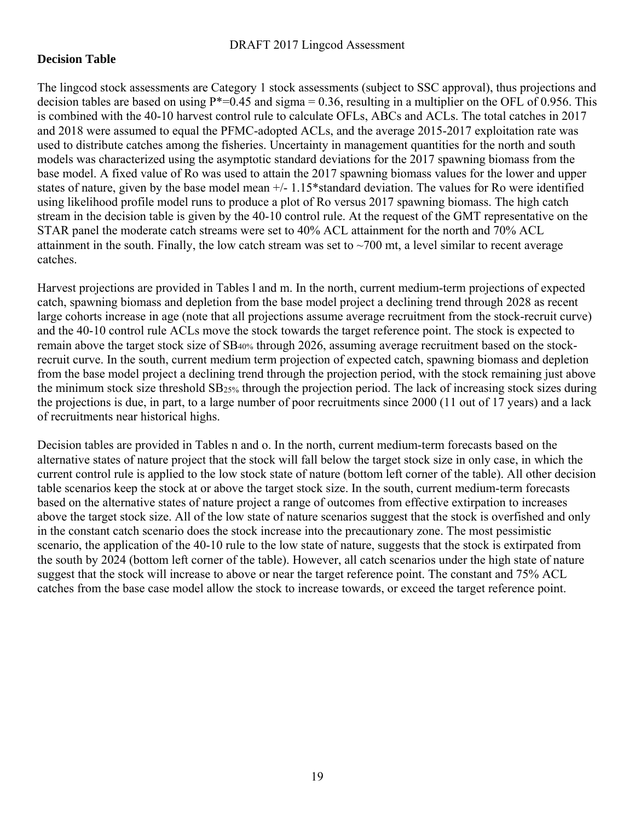### **Decision Table**

The lingcod stock assessments are Category 1 stock assessments (subject to SSC approval), thus projections and decision tables are based on using  $P^*=0.45$  and sigma = 0.36, resulting in a multiplier on the OFL of 0.956. This is combined with the 40-10 harvest control rule to calculate OFLs, ABCs and ACLs. The total catches in 2017 and 2018 were assumed to equal the PFMC-adopted ACLs, and the average 2015-2017 exploitation rate was used to distribute catches among the fisheries. Uncertainty in management quantities for the north and south models was characterized using the asymptotic standard deviations for the 2017 spawning biomass from the base model. A fixed value of Ro was used to attain the 2017 spawning biomass values for the lower and upper states of nature, given by the base model mean +/- 1.15\*standard deviation. The values for Ro were identified using likelihood profile model runs to produce a plot of Ro versus 2017 spawning biomass. The high catch stream in the decision table is given by the 40-10 control rule. At the request of the GMT representative on the STAR panel the moderate catch streams were set to 40% ACL attainment for the north and 70% ACL attainment in the south. Finally, the low catch stream was set to  $\sim$ 700 mt, a level similar to recent average catches.

Harvest projections are provided in Tables l and m. In the north, current medium-term projections of expected catch, spawning biomass and depletion from the base model project a declining trend through 2028 as recent large cohorts increase in age (note that all projections assume average recruitment from the stock-recruit curve) and the 40-10 control rule ACLs move the stock towards the target reference point. The stock is expected to remain above the target stock size of SB40% through 2026, assuming average recruitment based on the stockrecruit curve. In the south, current medium term projection of expected catch, spawning biomass and depletion from the base model project a declining trend through the projection period, with the stock remaining just above the minimum stock size threshold SB25% through the projection period. The lack of increasing stock sizes during the projections is due, in part, to a large number of poor recruitments since 2000 (11 out of 17 years) and a lack of recruitments near historical highs.

Decision tables are provided in Tables n and o. In the north, current medium-term forecasts based on the alternative states of nature project that the stock will fall below the target stock size in only case, in which the current control rule is applied to the low stock state of nature (bottom left corner of the table). All other decision table scenarios keep the stock at or above the target stock size. In the south, current medium-term forecasts based on the alternative states of nature project a range of outcomes from effective extirpation to increases above the target stock size. All of the low state of nature scenarios suggest that the stock is overfished and only in the constant catch scenario does the stock increase into the precautionary zone. The most pessimistic scenario, the application of the 40-10 rule to the low state of nature, suggests that the stock is extirpated from the south by 2024 (bottom left corner of the table). However, all catch scenarios under the high state of nature suggest that the stock will increase to above or near the target reference point. The constant and 75% ACL catches from the base case model allow the stock to increase towards, or exceed the target reference point.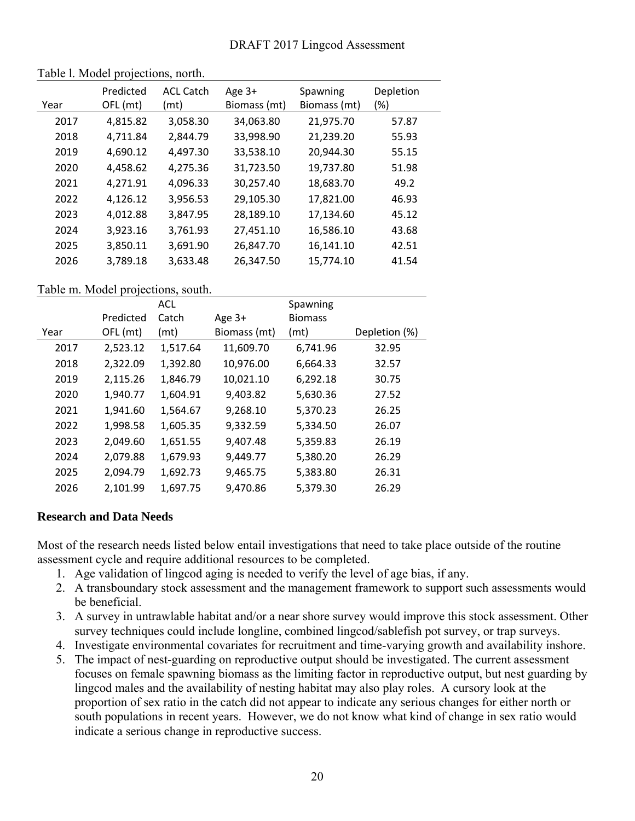| Year | Predicted<br>OFL (mt) | <b>ACL Catch</b><br>(mt) | Age 3+<br>Biomass (mt) | Spawning<br>Biomass (mt) | Depletion<br>(%) |
|------|-----------------------|--------------------------|------------------------|--------------------------|------------------|
| 2017 | 4,815.82              | 3,058.30                 | 34,063.80              | 21,975.70                | 57.87            |
| 2018 | 4,711.84              | 2,844.79                 | 33,998.90              | 21,239.20                | 55.93            |
| 2019 | 4,690.12              | 4,497.30                 | 33,538.10              | 20,944.30                | 55.15            |
| 2020 | 4,458.62              | 4,275.36                 | 31,723.50              | 19,737.80                | 51.98            |
| 2021 | 4,271.91              | 4,096.33                 | 30,257.40              | 18,683.70                | 49.2             |
| 2022 | 4,126.12              | 3,956.53                 | 29,105.30              | 17,821.00                | 46.93            |
| 2023 | 4,012.88              | 3,847.95                 | 28,189.10              | 17,134.60                | 45.12            |
| 2024 | 3,923.16              | 3,761.93                 | 27,451.10              | 16,586.10                | 43.68            |
| 2025 | 3,850.11              | 3,691.90                 | 26,847.70              | 16,141.10                | 42.51            |
| 2026 | 3,789.18              | 3,633.48                 | 26,347.50              | 15,774.10                | 41.54            |
|      |                       |                          |                        |                          |                  |

#### Table l. Model projections, north.

#### Table m. Model projections, south.

|      |           | <b>ACL</b> |              | Spawning       |               |
|------|-----------|------------|--------------|----------------|---------------|
|      | Predicted | Catch      | Age 3+       | <b>Biomass</b> |               |
| Year | OFL (mt)  | (mt)       | Biomass (mt) | (mt)           | Depletion (%) |
| 2017 | 2,523.12  | 1,517.64   | 11,609.70    | 6,741.96       | 32.95         |
| 2018 | 2,322.09  | 1,392.80   | 10,976.00    | 6,664.33       | 32.57         |
| 2019 | 2,115.26  | 1,846.79   | 10,021.10    | 6,292.18       | 30.75         |
| 2020 | 1,940.77  | 1,604.91   | 9,403.82     | 5,630.36       | 27.52         |
| 2021 | 1,941.60  | 1,564.67   | 9,268.10     | 5,370.23       | 26.25         |
| 2022 | 1,998.58  | 1,605.35   | 9,332.59     | 5,334.50       | 26.07         |
| 2023 | 2,049.60  | 1,651.55   | 9,407.48     | 5,359.83       | 26.19         |
| 2024 | 2,079.88  | 1,679.93   | 9,449.77     | 5,380.20       | 26.29         |
| 2025 | 2,094.79  | 1,692.73   | 9,465.75     | 5,383.80       | 26.31         |
| 2026 | 2,101.99  | 1,697.75   | 9,470.86     | 5,379.30       | 26.29         |

#### **Research and Data Needs**

Most of the research needs listed below entail investigations that need to take place outside of the routine assessment cycle and require additional resources to be completed.

- 1. Age validation of lingcod aging is needed to verify the level of age bias, if any.
- 2. A transboundary stock assessment and the management framework to support such assessments would be beneficial.
- 3. A survey in untrawlable habitat and/or a near shore survey would improve this stock assessment. Other survey techniques could include longline, combined lingcod/sablefish pot survey, or trap surveys.
- 4. Investigate environmental covariates for recruitment and time-varying growth and availability inshore.
- 5. The impact of nest-guarding on reproductive output should be investigated. The current assessment focuses on female spawning biomass as the limiting factor in reproductive output, but nest guarding by lingcod males and the availability of nesting habitat may also play roles. A cursory look at the proportion of sex ratio in the catch did not appear to indicate any serious changes for either north or south populations in recent years. However, we do not know what kind of change in sex ratio would indicate a serious change in reproductive success.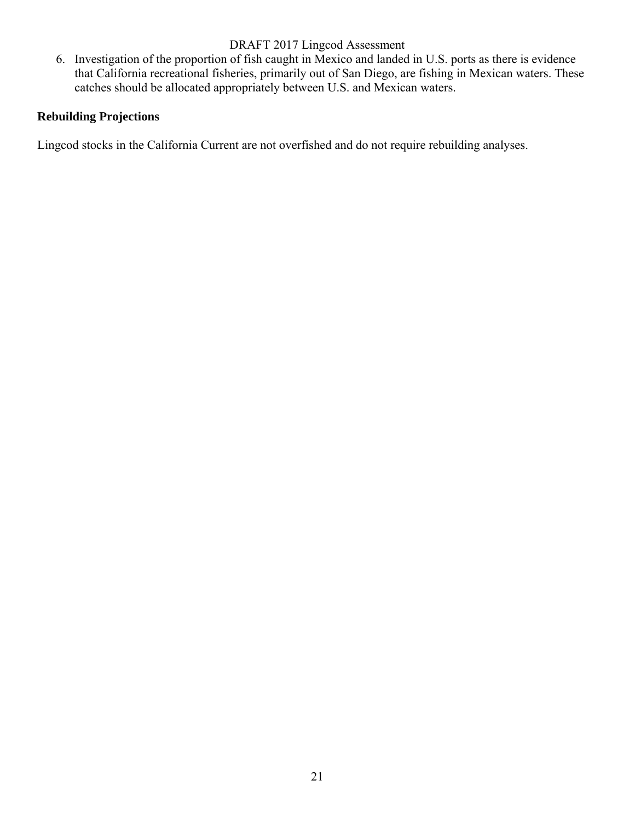6. Investigation of the proportion of fish caught in Mexico and landed in U.S. ports as there is evidence that California recreational fisheries, primarily out of San Diego, are fishing in Mexican waters. These catches should be allocated appropriately between U.S. and Mexican waters.

## **Rebuilding Projections**

Lingcod stocks in the California Current are not overfished and do not require rebuilding analyses.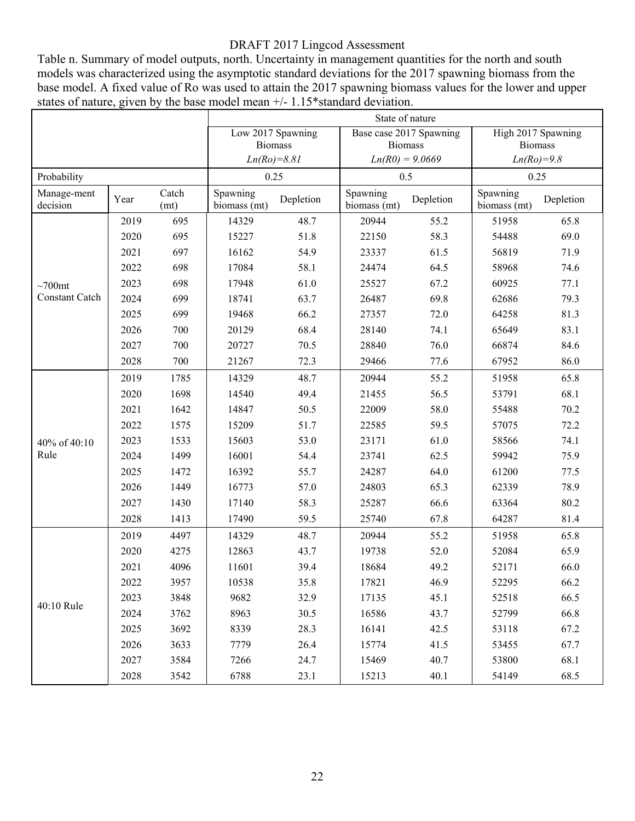Table n. Summary of model outputs, north. Uncertainty in management quantities for the north and south models was characterized using the asymptotic standard deviations for the 2017 spawning biomass from the base model. A fixed value of Ro was used to attain the 2017 spawning biomass values for the lower and upper states of nature, given by the base model mean  $+/- 1.15*$ standard deviation.

|                         |      |               |                          |                   | State of nature          |                         |                          |           |  |  |  |
|-------------------------|------|---------------|--------------------------|-------------------|--------------------------|-------------------------|--------------------------|-----------|--|--|--|
|                         |      |               |                          | Low 2017 Spawning |                          | Base case 2017 Spawning | High 2017 Spawning       |           |  |  |  |
|                         |      |               |                          | <b>Biomass</b>    |                          | <b>Biomass</b>          | <b>Biomass</b>           |           |  |  |  |
|                         |      |               |                          | $Ln(Ro)=8.81$     |                          | $Ln(R0) = 9.0669$       | $Ln(Ro)=9.8$             |           |  |  |  |
| Probability             |      |               |                          | 0.25              |                          | 0.5                     | 0.25                     |           |  |  |  |
| Manage-ment<br>decision | Year | Catch<br>(mt) | Spawning<br>biomass (mt) | Depletion         | Spawning<br>biomass (mt) | Depletion               | Spawning<br>biomass (mt) | Depletion |  |  |  |
|                         | 2019 | 695           | 14329                    | 48.7              | 20944                    | 55.2                    | 51958                    | 65.8      |  |  |  |
|                         | 2020 | 695           | 15227                    | 51.8              | 22150                    | 58.3                    | 54488                    | 69.0      |  |  |  |
|                         | 2021 | 697           | 16162                    | 54.9              | 23337<br>61.5            |                         | 56819                    | 71.9      |  |  |  |
|                         | 2022 | 698           | 17084                    | 58.1              | 24474                    | 64.5                    | 58968                    | 74.6      |  |  |  |
| $\sim700$ mt            | 2023 | 698           | 17948                    | 61.0              | 25527                    | 67.2                    | 60925                    | 77.1      |  |  |  |
| <b>Constant Catch</b>   | 2024 | 699           | 18741                    | 63.7              | 26487                    | 69.8                    | 62686                    | 79.3      |  |  |  |
|                         | 2025 | 699           | 19468                    | 66.2              | 27357                    | 72.0                    | 64258                    | 81.3      |  |  |  |
|                         | 2026 | 700           | 20129                    | 68.4              | 28140                    | 74.1                    | 65649                    | 83.1      |  |  |  |
|                         | 2027 | 700           | 20727                    | 70.5              | 28840                    | 76.0                    | 66874                    | 84.6      |  |  |  |
|                         | 2028 | 700           | 21267                    | 72.3              | 77.6<br>29466            |                         | 67952                    | 86.0      |  |  |  |
|                         | 2019 | 1785          | 14329                    | 48.7              | 20944<br>55.2            |                         | 51958                    | 65.8      |  |  |  |
|                         | 2020 | 1698          | 14540                    | 49.4              | 21455                    | 56.5                    | 53791                    | 68.1      |  |  |  |
|                         | 2021 | 1642          | 14847                    | 50.5              | 22009                    | 58.0                    | 55488                    | 70.2      |  |  |  |
|                         | 2022 | 1575          | 15209                    | 51.7              | 22585                    | 59.5                    | 57075                    | 72.2      |  |  |  |
| 40% of 40:10            | 2023 | 1533          | 15603                    | 53.0              | 23171                    | 61.0                    | 58566                    | 74.1      |  |  |  |
| Rule                    | 2024 | 1499          | 16001                    | 54.4              | 23741                    | 62.5                    | 59942                    | 75.9      |  |  |  |
|                         | 2025 | 1472          | 16392                    | 55.7              | 24287                    | 64.0                    | 61200                    | 77.5      |  |  |  |
|                         | 2026 | 1449          | 16773                    | 57.0              | 24803                    | 65.3                    | 62339                    | 78.9      |  |  |  |
|                         | 2027 | 1430          | 17140                    | 58.3              | 25287                    | 66.6                    | 63364                    | 80.2      |  |  |  |
|                         | 2028 | 1413          | 17490                    | 59.5              | 25740                    | 67.8                    | 64287                    | 81.4      |  |  |  |
|                         | 2019 | 4497          | 14329                    | 48.7              | 20944                    | 55.2                    | 51958                    | 65.8      |  |  |  |
|                         | 2020 | 4275          | 12863                    | 43.7              | 19738                    | 52.0                    | 52084                    | 65.9      |  |  |  |
|                         | 2021 | 4096          | 11601                    | 39.4              | 18684                    | 49.2                    | 52171                    | 66.0      |  |  |  |
|                         | 2022 | 3957          | 10538                    | 35.8              | 17821                    | 46.9                    | 52295                    | 66.2      |  |  |  |
|                         | 2023 | 3848          | 9682                     | 32.9              | 17135                    | 45.1                    | 52518                    | 66.5      |  |  |  |
| 40:10 Rule              | 2024 | 3762          | 8963                     | 30.5              | 16586                    | 43.7                    | 52799                    | 66.8      |  |  |  |
|                         | 2025 | 3692          | 8339                     | 28.3              | 16141                    | 42.5                    | 53118                    | 67.2      |  |  |  |
|                         | 2026 | 3633          | 7779                     | 26.4              | 15774                    | 41.5                    | 53455                    | 67.7      |  |  |  |
|                         | 2027 | 3584          | 7266                     | 24.7              | 15469                    | 40.7                    | 53800                    | 68.1      |  |  |  |
|                         | 2028 | 3542          | 6788                     | 23.1              | 15213                    | 40.1                    | 54149                    | 68.5      |  |  |  |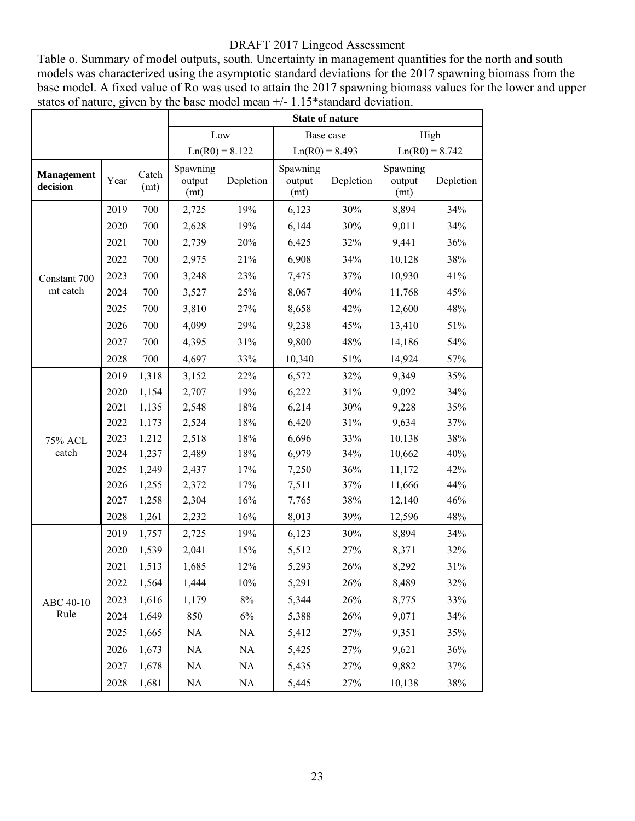Table o. Summary of model outputs, south. Uncertainty in management quantities for the north and south models was characterized using the asymptotic standard deviations for the 2017 spawning biomass from the base model. A fixed value of Ro was used to attain the 2017 spawning biomass values for the lower and upper states of nature, given by the base model mean  $+/- 1.15*$ standard deviation.

|                               |      |               | <b>State of nature</b>     |                  |                            |           |                            |           |  |  |  |
|-------------------------------|------|---------------|----------------------------|------------------|----------------------------|-----------|----------------------------|-----------|--|--|--|
|                               |      |               | Low                        |                  | Base case                  |           | High                       |           |  |  |  |
|                               |      |               |                            | $Ln(R0) = 8.122$ | $Ln(R0) = 8.493$           |           | $Ln(R0) = 8.742$           |           |  |  |  |
| <b>Management</b><br>decision | Year | Catch<br>(mt) | Spawning<br>output<br>(mt) | Depletion        | Spawning<br>output<br>(mt) | Depletion | Spawning<br>output<br>(mt) | Depletion |  |  |  |
|                               | 2019 | 700           | 2,725                      | 19%              | 6,123                      | 30%       | 8,894                      | 34%       |  |  |  |
|                               | 2020 | 700           | 2,628                      | 19%              | 6,144                      | 30%       | 9,011                      | 34%       |  |  |  |
|                               | 2021 | 700           | 2,739                      | 20%              | 6,425                      | 32%       | 9,441                      | 36%       |  |  |  |
|                               | 2022 | 700           | 2,975                      | 21%              | 6,908                      | 34%       | 10,128                     | 38%       |  |  |  |
| Constant 700                  | 2023 | 700           | 3,248                      | 23%              | 7,475                      | 37%       | 10,930                     | 41%       |  |  |  |
| mt catch                      | 2024 | 700           | 3,527                      | 25%              | 8,067                      | 40%       | 11,768                     | 45%       |  |  |  |
|                               | 2025 | 700           | 3,810                      | 27%              | 8,658                      | 42%       | 12,600                     | 48%       |  |  |  |
|                               | 2026 | 700           | 4,099                      | 29%              | 9,238                      | 45%       | 13,410                     | 51%       |  |  |  |
|                               | 2027 | 700           | 4,395                      | 31%              | 9,800                      | 48%       | 14,186                     | 54%       |  |  |  |
|                               | 2028 | 700           | 4,697                      | 33%              | 10,340                     | 51%       | 14,924                     | 57%       |  |  |  |
|                               | 2019 | 1,318         | 3,152                      | 22%              | 6,572                      | 32%       | 9,349                      | 35%       |  |  |  |
|                               | 2020 | 1,154         | 2,707                      | 19%              | 6,222                      | 31%       | 9,092                      | 34%       |  |  |  |
|                               | 2021 | 1,135         | 2,548                      | 18%              | 6,214                      | 30%       | 9,228                      | 35%       |  |  |  |
|                               | 2022 | 1,173         | 2,524                      | 18%              | 6,420                      | 31%       | 9,634                      | 37%       |  |  |  |
| <b>75% ACL</b>                | 2023 | 1,212         | 2,518                      | 18%              | 6,696                      | 33%       | 10,138                     | 38%       |  |  |  |
| catch                         | 2024 | 1,237         | 2,489                      | 18%              | 6,979                      | 34%       | 10,662                     | 40%       |  |  |  |
|                               | 2025 | 1,249         | 2,437                      | 17%              | 7,250                      | 36%       | 11,172                     | 42%       |  |  |  |
|                               | 2026 | 1,255         | 2,372                      | 17%              | 7,511                      | 37%       | 11,666                     | 44%       |  |  |  |
|                               | 2027 | 1,258         | 2,304                      | 16%              | 7,765                      | 38%       | 12,140                     | 46%       |  |  |  |
|                               | 2028 | 1,261         | 2,232                      | 16%              | 8,013                      | 39%       | 12,596                     | 48%       |  |  |  |
|                               | 2019 | 1,757         | 2,725                      | 19%              | 6,123                      | 30%       | 8,894                      | 34%       |  |  |  |
|                               | 2020 | 1,539         | 2,041                      | 15%              | 5,512                      | 27%       | 8,371                      | 32%       |  |  |  |
|                               | 2021 | 1,513         | 1,685                      | 12%              | 5,293                      | 26%       | 8,292                      | 31%       |  |  |  |
|                               | 2022 | 1,564         | 1,444                      | 10%              | 5,291                      | 26%       | 8,489                      | 32%       |  |  |  |
| ABC 40-10                     | 2023 | 1,616         | 1,179                      | $8\%$            | 5,344                      | 26%       | 8,775                      | 33%       |  |  |  |
| Rule                          | 2024 | 1,649         | 850                        | $6\%$            | 5,388                      | 26%       | 9,071                      | 34%       |  |  |  |
|                               | 2025 | 1,665         | NA                         | $\rm NA$         | 5,412                      | 27%       | 9,351                      | 35%       |  |  |  |
|                               | 2026 | 1,673         | NA                         | $\rm NA$         | 5,425                      | 27%       | 9,621                      | 36%       |  |  |  |
|                               | 2027 | 1,678         | NA                         | NA               | 5,435                      | 27%       | 9,882                      | 37%       |  |  |  |
|                               | 2028 | 1,681         | NA                         | NA               | 5,445                      | 27%       | 10,138                     | 38%       |  |  |  |